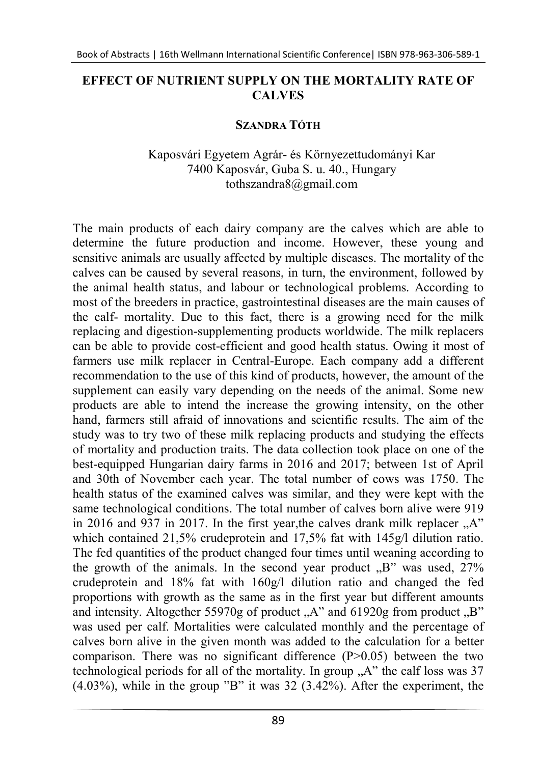## EFFECT OF NUTRIENT SUPPLY ON THE MORTALITY RATE OF **CALVES**

## SZANDRA TÓTH

## Kaposvári Egyetem Agrár- és Környezettudományi Kar 7400 Kaposvár, Guba S. u. 40., Hungary tothszandra8@gmail.com

The main products of each dairy company are the calves which are able to determine the future production and income. However, these young and sensitive animals are usually affected by multiple diseases. The mortality of the calves can be caused by several reasons, in turn, the environment, followed by the animal health status, and labour or technological problems. According to most of the breeders in practice, gastrointestinal diseases are the main causes of the calf- mortality. Due to this fact, there is a growing need for the milk replacing and digestion-supplementing products worldwide. The milk replacers can be able to provide cost-efficient and good health status. Owing it most of farmers use milk replacer in Central-Europe. Each company add a different recommendation to the use of this kind of products, however, the amount of the supplement can easily vary depending on the needs of the animal. Some new products are able to intend the increase the growing intensity, on the other hand, farmers still afraid of innovations and scientific results. The aim of the study was to try two of these milk replacing products and studying the effects of mortality and production traits. The data collection took place on one of the best-equipped Hungarian dairy farms in 2016 and 2017; between 1st of April and 30th of November each year. The total number of cows was 1750. The health status of the examined calves was similar, and they were kept with the same technological conditions. The total number of calves born alive were 919 in 2016 and 937 in 2017. In the first year, the calves drank milk replacer  $.A$ " which contained 21,5% crudeprotein and 17,5% fat with 145g/l dilution ratio. The fed quantities of the product changed four times until weaning according to the growth of the animals. In the second year product  $\mathbb{R}$  was used, 27% crudeprotein and 18% fat with 160g/l dilution ratio and changed the fed proportions with growth as the same as in the first year but different amounts and intensity. Altogether 55970g of product  $.A$ " and 61920g from product  $.B$ " was used per calf. Mortalities were calculated monthly and the percentage of calves born alive in the given month was added to the calculation for a better comparison. There was no significant difference  $(P>0.05)$  between the two technological periods for all of the mortality. In group  $, A$ " the calf loss was 37  $(4.03\%)$ , while in the group "B" it was  $32(3.42\%)$ . After the experiment, the